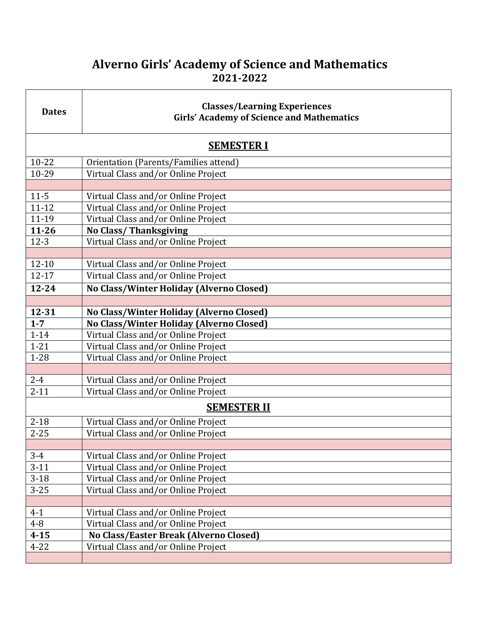## **Alverno Girls' Academy of Science and Mathematics 2021-2022**

| <b>Dates</b>       | <b>Classes/Learning Experiences</b><br><b>Girls' Academy of Science and Mathematics</b> |
|--------------------|-----------------------------------------------------------------------------------------|
| <b>SEMESTER I</b>  |                                                                                         |
| $10 - 22$          | Orientation (Parents/Families attend)                                                   |
| 10-29              | Virtual Class and/or Online Project                                                     |
|                    |                                                                                         |
| $11 - 5$           | Virtual Class and/or Online Project                                                     |
| $11 - 12$          | Virtual Class and/or Online Project                                                     |
| 11-19              | Virtual Class and/or Online Project                                                     |
| $11 - 26$          | <b>No Class/Thanksgiving</b>                                                            |
| $12-3$             | Virtual Class and/or Online Project                                                     |
|                    |                                                                                         |
| $12 - 10$          | Virtual Class and/or Online Project                                                     |
| $12 - 17$          | Virtual Class and/or Online Project                                                     |
| $12 - 24$          | No Class/Winter Holiday (Alverno Closed)                                                |
|                    |                                                                                         |
| $12 - 31$          | No Class/Winter Holiday (Alverno Closed)                                                |
| $1 - 7$            | No Class/Winter Holiday (Alverno Closed)                                                |
| $1 - 14$           | Virtual Class and/or Online Project                                                     |
| $1 - 21$           | Virtual Class and/or Online Project                                                     |
| $1 - 28$           | Virtual Class and/or Online Project                                                     |
|                    |                                                                                         |
| $2 - 4$            | Virtual Class and/or Online Project                                                     |
| $2 - 11$           | Virtual Class and/or Online Project                                                     |
| <b>SEMESTER II</b> |                                                                                         |
| $2 - 18$           | Virtual Class and/or Online Project                                                     |
| $2 - 25$           | Virtual Class and/or Online Project                                                     |
|                    |                                                                                         |
| $3 - 4$            | Virtual Class and/or Online Project                                                     |
| $3-11$             | Virtual Class and/or Online Project                                                     |
| $3-18$             | Virtual Class and/or Online Project                                                     |
| $3 - 25$           | Virtual Class and/or Online Project                                                     |
|                    |                                                                                         |
| $4 - 1$            | Virtual Class and/or Online Project                                                     |
| $4 - 8$            | Virtual Class and/or Online Project                                                     |
| $4 - 15$           | No Class/Easter Break (Alverno Closed)                                                  |
| $4 - 22$           | Virtual Class and/or Online Project                                                     |
|                    |                                                                                         |